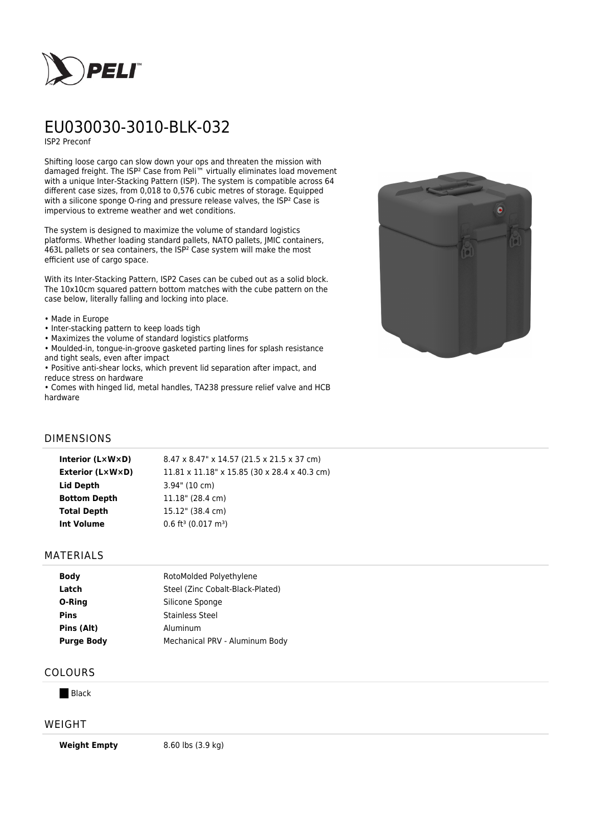

# EU030030-3010-BLK-032

ISP2 Preconf

Shifting loose cargo can slow down your ops and threaten the mission with damaged freight. The ISP² Case from Peli™ virtually eliminates load movement with a unique Inter-Stacking Pattern (ISP). The system is compatible across 64 different case sizes, from 0,018 to 0,576 cubic metres of storage. Equipped with a silicone sponge O-ring and pressure release valves, the ISP<sup>2</sup> Case is impervious to extreme weather and wet conditions.

The system is designed to maximize the volume of standard logistics platforms. Whether loading standard pallets, NATO pallets, JMIC containers, 463L pallets or sea containers, the ISP² Case system will make the most efficient use of cargo space.

With its Inter-Stacking Pattern, ISP2 Cases can be cubed out as a solid block. The 10x10cm squared pattern bottom matches with the cube pattern on the case below, literally falling and locking into place.

- Made in Europe
- Inter-stacking pattern to keep loads tigh
- Maximizes the volume of standard logistics platforms
- Moulded-in, tongue-in-groove gasketed parting lines for splash resistance and tight seals, even after impact

• Positive anti-shear locks, which prevent lid separation after impact, and reduce stress on hardware

• Comes with hinged lid, metal handles, TA238 pressure relief valve and HCB hardware



## DIMENSIONS

| Interior (LxWxD)    | 8.47 x 8.47" x 14.57 (21.5 x 21.5 x 37 cm)           |
|---------------------|------------------------------------------------------|
| Exterior (L×W×D)    | $11.81 \times 11.18$ " x 15.85 (30 x 28.4 x 40.3 cm) |
| Lid Depth           | $3.94$ " (10 cm)                                     |
| <b>Bottom Depth</b> | $11.18$ " (28.4 cm)                                  |
| <b>Total Depth</b>  | 15.12" (38.4 cm)                                     |
| <b>Int Volume</b>   | $0.6$ ft <sup>3</sup> (0.017 m <sup>3</sup> )        |

## MATERIALS

| RotoMolded Polyethylene          |
|----------------------------------|
| Steel (Zinc Cobalt-Black-Plated) |
| Silicone Sponge                  |
| Stainless Steel                  |
| Aluminum                         |
| Mechanical PRV - Aluminum Body   |
|                                  |

## COLOURS

**Black** 

## WEIGHT

**Weight Empty** 8.60 lbs (3.9 kg)